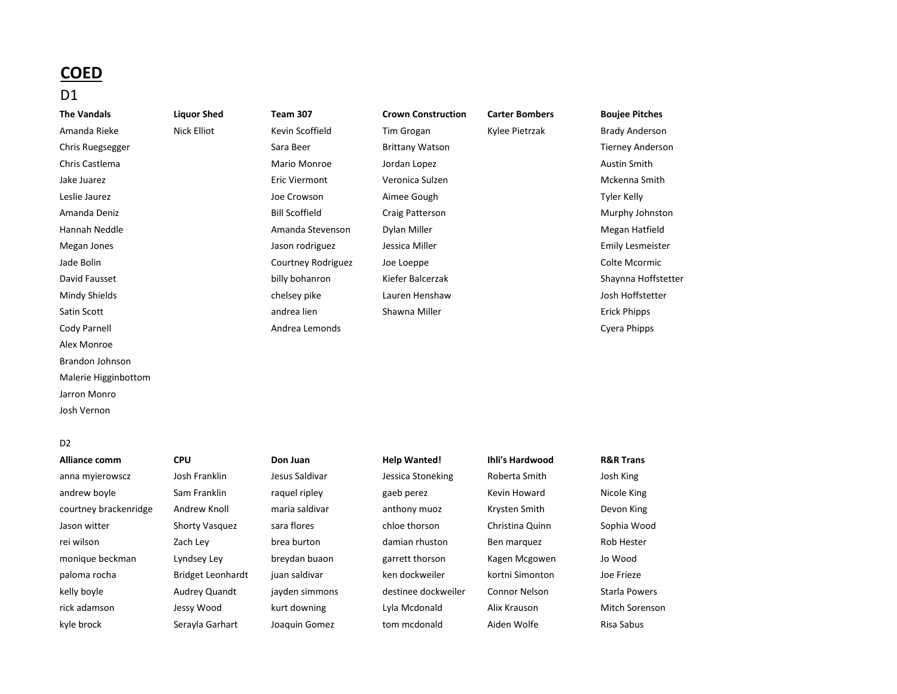# **COED**

# D1

Amanda Rieke Nick Elliot Kevin Scoffield Tim Grogan Kylee Pietrzak Brady Anderson Chris Ruegsegger The Sara Beer Sara Beer Brittany Watson Sara Beer Sara Beer Sara Beer Brittany Watson Sara Beer Sara Beer Sara Beer Sara Beer Sara Beer Sara Beer Sara Beer Sara Beer Sara Beer Sara Beer Sara Beer Sara Beer Chris Castlema Mario Monroe Jordan Lopez Austin Smith Jake Juarez Eric Viermont Veronica Sulzen Mckenna Smith Leslie Jaurez Joe Crowson Aimee Gough Tyler Kelly Amanda Deniz **Example 2 Craig Patters Craig Patterson** Craig Patterson **Murphy Johnston** Murphy Johnston Murphy Johnston Hannah Neddle **Megan Hatfield** Amanda Stevenson Dylan Miller Megan Megan Hatfield Megan Jones **Megan Jones Jason rodriguez** Jessica Miller **Container Emily Lesmeister** Emily Lesmeister Jade Bolin Courtney Rodriguez Joe Loeppe Colte Mcormic David Fausset **billy bohanron** Kiefer Balcerzak Shaynna Hoffstetter Shaynna Hoffstetter Mindy Shields chelsey pike Lauren Henshaw Josh Hoffstetter Satin Scott **Shawna Miller** Shawna Miller Shawna Miller Shawna Miller Shawna Miller Shawna Miller Shawna Miller Cody Parnell Andrea Lemonds Cyera Phipps Alex Monroe Brandon Johnson Malerie Higginbottom Jarron Monro Josh Vernon

# D<sub>2</sub>

anna myierowscz Josh Franklin Jesus Saldivar Jessica Stoneking Roberta Smith Josh King andrew boyle Sam Franklin raquel ripley gaeb perez Kevin Howard Nicole King courtney brackenridge Andrew Knoll maria saldivar anthony muoz Krysten Smith Devon King Jason witter Shorty Vasquez sara flores chloe thorson Christina Quinn Sophia Wood rei wilson Zach Ley brea burton damian rhuston Ben marquez Rob Hester monique beckman Lyndsey Ley breydan buaon garrett thorson Kagen Mcgowen Jo Wood paloma rocha Bridget Leonhardt juan saldivar ken dockweiler kortni Simonton Joe Frieze kelly boyle **Audrey Quandt** jayden simmons destinee dockweiler Connor Nelson Starla Powers rick adamson Jessy Wood kurt downing Lyla Mcdonald Alix Krauson Mitch Sorenson kyle brock Serayla Garhart Joaquin Gomez tom mcdonald Aiden Wolfe Risa Sabus

# **Alliance comm CPU Don Juan Help Wanted! Ihli's Hardwood R&R Trans**

| Wanted!        |
|----------------|
| ca Stoneking   |
| perez          |
| ony muoz       |
| e thorson      |
| an rhuston     |
| tt thorson!    |
| dockweiler     |
| nee dockweiler |
| Mcdonald       |
| mrdonald       |

**The Vandals Liquor Shed Team 307 Crown Construction Carter Bombers Boujee Pitches**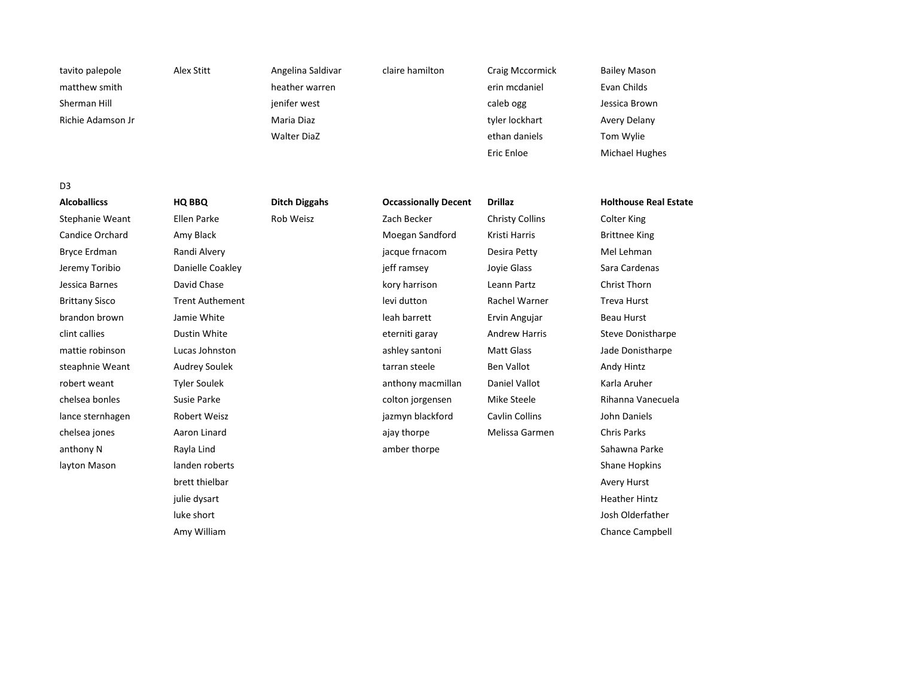tavito palepole Alex Stitt Angelina Saldivar claire hamilton Craig Mccormick Bailey Mason matthew smith heather warren erin mcdaniel Evan Childs Sherman Hill **Sherman Hill is a southware of the state of the state of the state of the state of the state of the state of the state of the state of the state of the state of the state of the state of the state of the stat** Richie Adamson Jr **Maria Diaz tyler herbyggine Avery Delany** tyler lockhart Avery Delany

Walter DiaZ **ethan daniels** Tom Wylie

Eric Enloe Michael Hughes

D3

anthony N Rayla Lind amber thorpe Sahawna Parke layton Mason and landen roberts Shane Hopkins Shane Hopkins Shane Hopkins Shane Hopkins Shane Hopkins Shane Hopkins brett thielbar Avery Hurst Christian Avery Hurst Christian Avery Hurst Christian Avery Hurst Christian Avery Hurst julie dysart New York (1992) and the second service of the service of the service of the service of the service of the service of the service of the service of the service of the service of the service of the service of th

Stephanie Weant Ellen Parke Rob Weisz Zach Becker Christy Collins Colter King Candice Orchard Amy Black America American Candice Orchard Brittnee King Bryce Erdman Randi Alvery jacque frnacom Desira Petty Mel Lehman Jeremy Toribio **Sara Cardenas** Danielle Coakley **in the Contract of Communist** jeff ramsey Joyie Glass Sara Cardenas Jessica Barnes David Chase kory harrison Leann Partz Christ Thorn Brittany Sisco **Trent Authement** and Trent Authority Constant Levi dutton Rachel Warner Treva Hurst brandon brown Jamie White leah barrett Ervin Angujar Beau Hurst clint callies **Subset Clubset Clubset Clubset Clubset Clubset Clubset Clubset Clubset Clubset Clubset Clubset Clubset Clubset Clubset Clubset Clubset Clubset Clubset Clubset Clubset Clubset Clubset Clubset Clubset Clubset** mattie robinson and Lucas Johnston ashley santoni Matt Glass and Jade Donistharpe steaphnie Weant Audrey Soulek tarran steele Ben Vallot Andy Hintz robert weant Tyler Soulek anthony macmillan Daniel Vallot Karla Aruher chelsea bonles Susie Parke colton jorgensen Mike Steele Rihanna Vanecuela lance sternhagen and Robert Weisz and Cavillackford Caviln Collins and John Daniels chelsea jones Aaron Linard ajay thorpe Melissa Garmen Chris Parks

**Alcoballicss HQ BBQ Ditch Diggahs Occassionally Decent Drillaz Holthouse Real Estate**

luke short Josh Olderfather Amy William Chance Campbell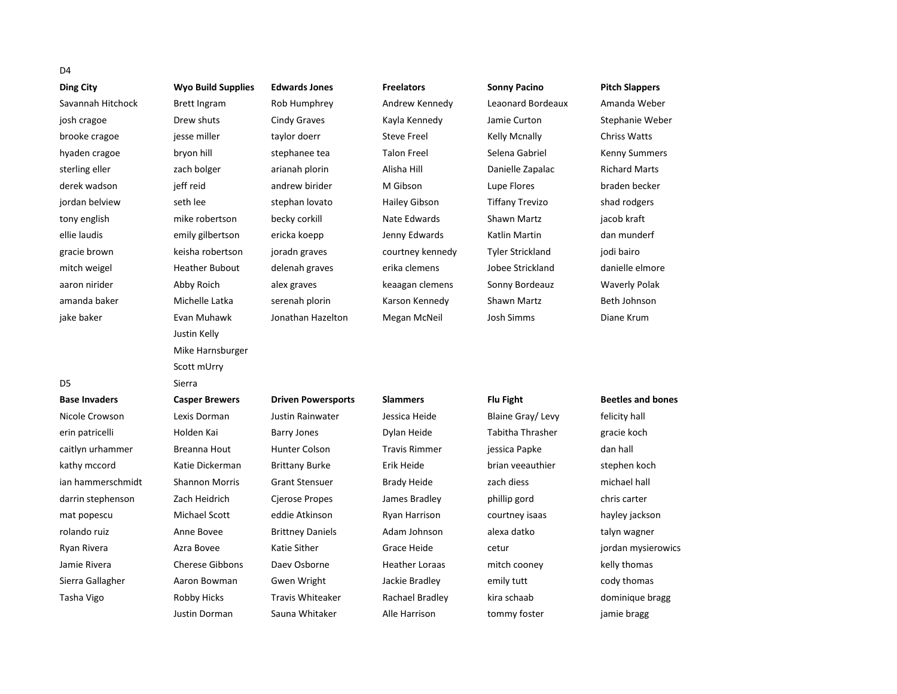# D4

| <b>Ding City</b>     | <b>Wyo Build Supplies</b> | <b>Edwards Jones</b>      | <b>Freelators</b>    | <b>Sonny Pacino</b>     | <b>Pitch Slappers</b>    |
|----------------------|---------------------------|---------------------------|----------------------|-------------------------|--------------------------|
| Savannah Hitchock    | <b>Brett Ingram</b>       | Rob Humphrey              | Andrew Kennedy       | Leaonard Bordeaux       | Amanda Weber             |
| josh cragoe          | Drew shuts                | <b>Cindy Graves</b>       | Kayla Kennedy        | Jamie Curton            | Stephanie Weber          |
| brooke cragoe        | jesse miller              | taylor doerr              | <b>Steve Freel</b>   | <b>Kelly Mcnally</b>    | <b>Chriss Watts</b>      |
| hyaden cragoe        | bryon hill                | stephanee tea             | <b>Talon Freel</b>   | Selena Gabriel          | <b>Kenny Summers</b>     |
| sterling eller       | zach bolger               | arianah plorin            | Alisha Hill          | Danielle Zapalac        | <b>Richard Marts</b>     |
| derek wadson         | jeff reid                 | andrew birider            | M Gibson             | Lupe Flores             | braden becker            |
| jordan belview       | seth lee                  | stephan lovato            | <b>Hailey Gibson</b> | <b>Tiffany Trevizo</b>  | shad rodgers             |
| tony english         | mike robertson            | becky corkill             | Nate Edwards         | Shawn Martz             | jacob kraft              |
| ellie laudis         | emily gilbertson          | ericka koepp              | Jenny Edwards        | Katlin Martin           | dan munderf              |
| gracie brown         | keisha robertson          | joradn graves             | courtney kennedy     | <b>Tyler Strickland</b> | jodi bairo               |
| mitch weigel         | <b>Heather Bubout</b>     | delenah graves            | erika clemens        | Jobee Strickland        | danielle elmore          |
| aaron nirider        | Abby Roich                | alex graves               | keaagan clemens      | Sonny Bordeauz          | <b>Waverly Polak</b>     |
| amanda baker         | Michelle Latka            | serenah plorin            | Karson Kennedy       | Shawn Martz             | Beth Johnson             |
| jake baker           | Evan Muhawk               | Jonathan Hazelton         | Megan McNeil         | Josh Simms              | Diane Krum               |
|                      | Justin Kelly              |                           |                      |                         |                          |
|                      | Mike Harnsburger          |                           |                      |                         |                          |
|                      | Scott mUrry               |                           |                      |                         |                          |
| D <sub>5</sub>       | Sierra                    |                           |                      |                         |                          |
| <b>Base Invaders</b> | <b>Casper Brewers</b>     | <b>Driven Powersports</b> | <b>Slammers</b>      | Flu Fight               | <b>Beetles and bones</b> |
| Nicole Crowson       | Lexis Dorman              | <b>Justin Rainwater</b>   | Jessica Heide        | Blaine Gray/Levy        | felicity hall            |
| erin patricelli      | Holden Kai                | Barry Jones               | Dylan Heide          | Tabitha Thrasher        | gracie koch              |
| caitlyn urhammer     | Breanna Hout              | Hunter Colson             | <b>Travis Rimmer</b> | jessica Papke           | dan hall                 |
| kathy mccord         | Katie Dickerman           | <b>Brittany Burke</b>     | Erik Heide           | brian veeauthier        | stephen koch             |
| ian hammerschmidt    | <b>Shannon Morris</b>     | <b>Grant Stensuer</b>     | <b>Brady Heide</b>   | zach diess              | michael hall             |
| darrin stephenson    | Zach Heidrich             | Cjerose Propes            | James Bradley        | phillip gord            | chris carter             |
| mat popescu          | Michael Scott             | eddie Atkinson            | <b>Ryan Harrison</b> | courtney isaas          | hayley jackson           |
| rolando ruiz         | Anne Bovee                | <b>Brittney Daniels</b>   | Adam Johnson         | alexa datko             | talyn wagner             |
| Ryan Rivera          | Azra Bovee                | Katie Sither              | Grace Heide          | cetur                   | jordan mysierowics       |
| Jamie Rivera         | <b>Cherese Gibbons</b>    | Daev Osborne              | Heather Loraas       | mitch cooney            | kelly thomas             |
| Sierra Gallagher     | Aaron Bowman              | Gwen Wright               | Jackie Bradley       | emily tutt              | cody thomas              |
| Tasha Vigo           | <b>Robby Hicks</b>        | <b>Travis Whiteaker</b>   | Rachael Bradley      | kira schaab             | dominique bragg          |
|                      | Justin Dorman             | Sauna Whitaker            | Alle Harrison        | tommy foster            | jamie bragg              |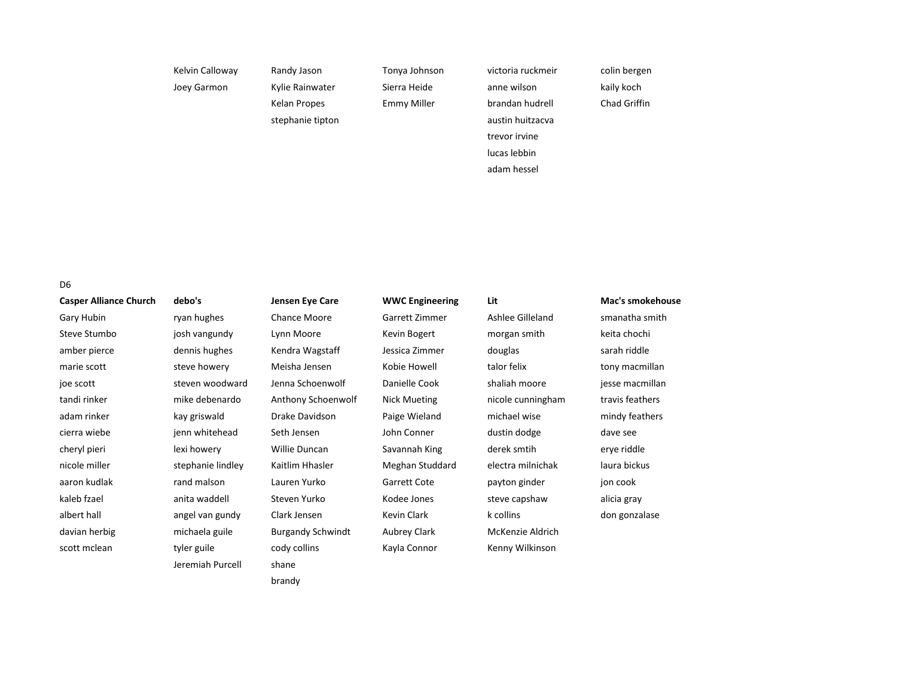| Kelvin Calloway | Randy Jason      | Tonya Johnson | victoria ruckmeir | colin bergen        |
|-----------------|------------------|---------------|-------------------|---------------------|
| Joey Garmon     | Kylie Rainwater  | Sierra Heide  | anne wilson       | kaily koch          |
|                 | Kelan Propes     | Emmy Miller   | brandan hudrell   | <b>Chad Griffin</b> |
|                 | stephanie tipton |               | austin huitzacva  |                     |
|                 |                  |               | trevor irvine     |                     |
|                 |                  |               | lucas lebbin      |                     |
|                 |                  |               | adam hessel       |                     |
|                 |                  |               |                   |                     |

D6

| <b>Casper Alliance Church</b> | debo's            | Jensen Eye Care          | <b>WWC Engineering</b> | Lit               | Mac's smokehouse |
|-------------------------------|-------------------|--------------------------|------------------------|-------------------|------------------|
| Gary Hubin                    | ryan hughes       | Chance Moore             | Garrett Zimmer         | Ashlee Gilleland  | smanatha smith   |
| Steve Stumbo                  | josh vangundy     | Lynn Moore               | Kevin Bogert           | morgan smith      | keita chochi     |
| amber pierce                  | dennis hughes     | Kendra Wagstaff          | Jessica Zimmer         | douglas           | sarah riddle     |
| marie scott                   | steve howery      | Meisha Jensen            | Kobie Howell           | talor felix       | tony macmillan   |
| joe scott                     | steven woodward   | Jenna Schoenwolf         | Danielle Cook          | shaliah moore     | jesse macmillan  |
| tandi rinker                  | mike debenardo    | Anthony Schoenwolf       | <b>Nick Mueting</b>    | nicole cunningham | travis feathers  |
| adam rinker                   | kay griswald      | Drake Davidson           | Paige Wieland          | michael wise      | mindy feathers   |
| cierra wiebe                  | jenn whitehead    | Seth Jensen              | John Conner            | dustin dodge      | dave see         |
| cheryl pieri                  | lexi howery       | Willie Duncan            | Savannah King          | derek smtih       | erye riddle      |
| nicole miller                 | stephanie lindley | Kaitlim Hhasler          | Meghan Studdard        | electra milnichak | laura bickus     |
| aaron kudlak                  | rand malson       | Lauren Yurko             | Garrett Cote           | payton ginder     | jon cook         |
| kaleb fzael                   | anita waddell     | Steven Yurko             | Kodee Jones            | steve capshaw     | alicia gray      |
| albert hall                   | angel van gundy   | Clark Jensen             | Kevin Clark            | k collins         | don gonzalase    |
| davian herbig                 | michaela guile    | <b>Burgandy Schwindt</b> | Aubrey Clark           | McKenzie Aldrich  |                  |
| scott mclean                  | tyler guile       | cody collins             | Kayla Connor           | Kenny Wilkinson   |                  |
|                               | Jeremiah Purcell  | shane                    |                        |                   |                  |
|                               |                   | brandy                   |                        |                   |                  |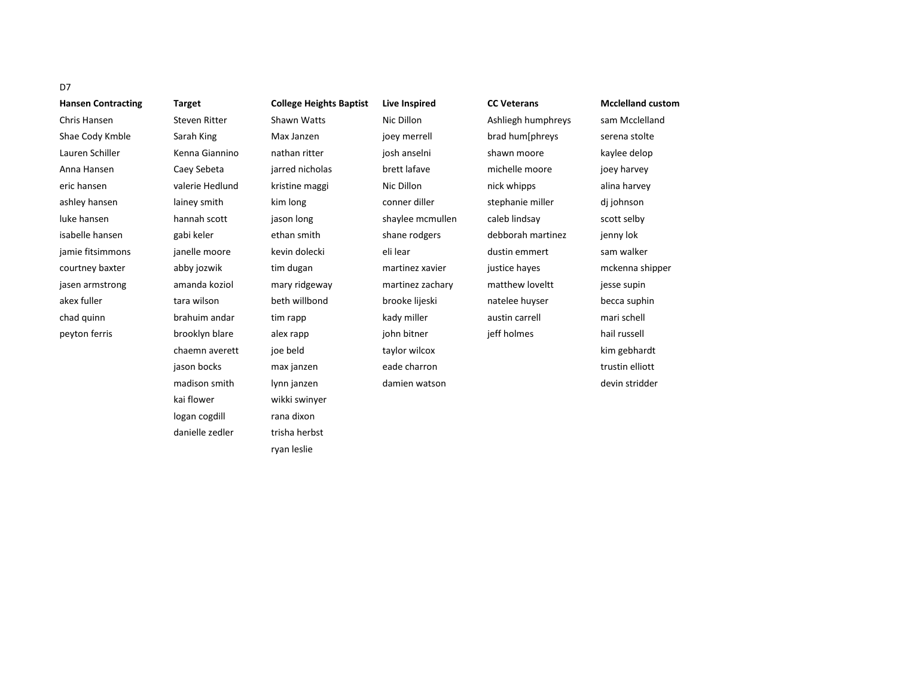| <b>Hansen Contracting</b> |
|---------------------------|
| Chris Hansen              |
| Shae Cody Kmble           |
| Lauren Schiller           |
| Anna Hansen               |
| eric hansen               |
| ashley hansen             |
| luke hansen               |
| isabelle hansen           |
| jamie fitsimmons          |
| courtney baxter           |
| jasen armstrong           |
| akex fuller               |
| chad quinn                |
| peyton ferris             |
|                           |

**Hansen Contracting Target College Heights Baptist Live Inspired CC Veterans Mcclelland custom** Steven Ritter Shawn Watts Nic Dillon Ashliegh humphreys sam Mcclelland Sarah King Max Janzen joey merrell brad hum[phreys serena stolte Kenna Giannino anthan ritter is josh anselni shawn moore kaylee delop Anna Hansen Caey Sebeta jarred nicholas brett lafave michelle moore joey harvey eric hansen valerie Hedlund kristine maggi Nic Dillon nick whipps alina harvey lainey smith kim long conner diller stephanie miller dj johnson hannah scott jason long shaylee mcmullen caleb lindsay scott selby gabi keler ethan smith shane rodgers debborah martinez jenny lok jamie fitsimmons janelle moore kevin dolecki eli lear dustin emmert sam walker abby jozwik tim dugan martinez xavier justice hayes mckenna shipper amanda koziol mary ridgeway martinez zachary matthew loveltt jesse supin akex fuller tara wilson beth willbond brooke lijeski natelee huyser becca suphin chad quinn brahuim andar tim rapp kady miller austin carrell mari schell brooklyn blare alex rapp in a john bitner jeff holmes hail russell chaemn averett joe beld taylor wilcox kim gebhardt jason bocks max janzen eade charron trustin elliott madison smith lynn janzen damien watson devin stridder kai flower wikki swinyer logan cogdill rana dixon danielle zedler trisha herbst ryan leslie

# D7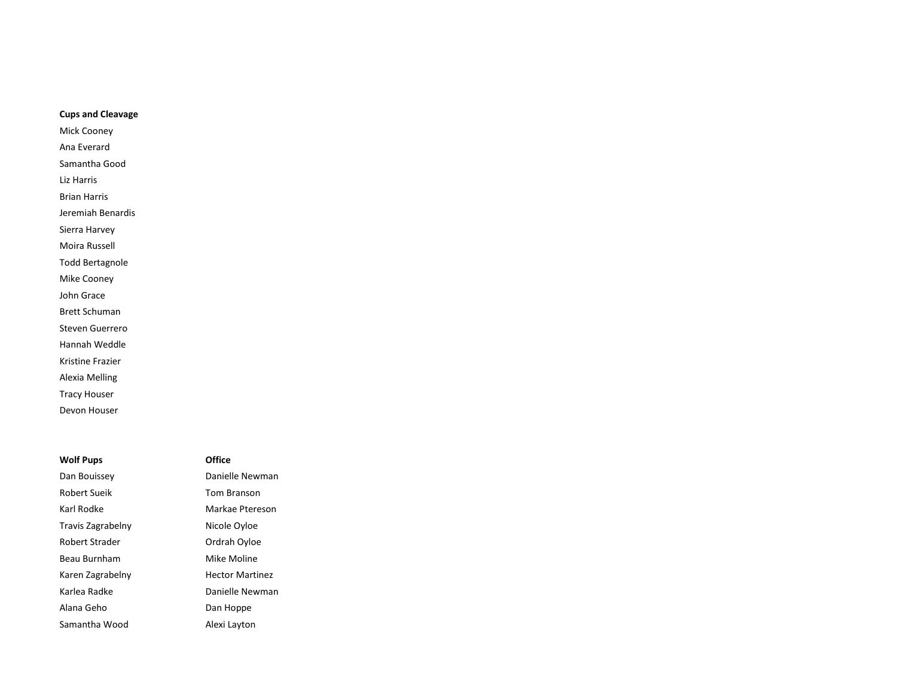# **Cups and Cleavage**

- Mick Cooney
- Ana Everard
- Samantha Good
- Liz Harris
- Brian Harris
- Jeremiah Benardis
- Sierra Harvey
- Moira Russell
- Todd Bertagnole
- Mike Cooney
- John Grace
- Brett Schuman
- Steven Guerrero
- Hannah Weddle
- Kristine Frazier
- Alexia Melling
- Tracy Houser
- Devon Houser

# **Wolf Pups Office**

Robert Sueik Tom Branson Karl Rodke Markae Ptereson Travis Zagrabelny **Nicole Oyloe** Robert Strader **Calculation** Ordrah Oyloe Beau Burnham Mike Moline Karen Zagrabelny **Hector Martinez** Karlea Radke **Danielle Newman** Alana Geho Dan Hoppe Samantha Wood Alexi Layton

Dan Bouissey **Danielle Newman**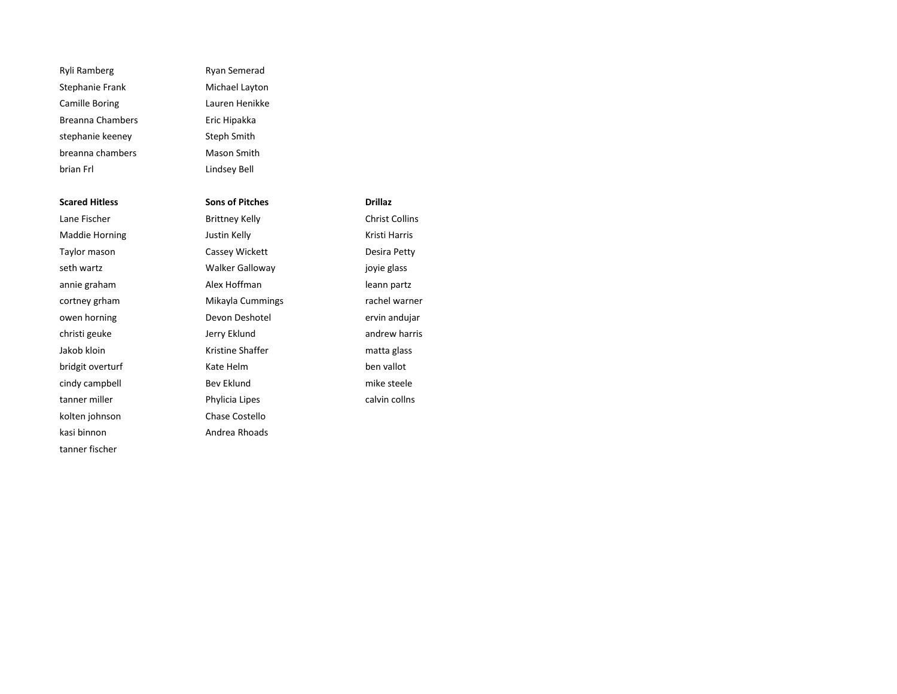Ryli Ramberg **Ryan Semerad** Stephanie Frank Michael Layton Camille Boring Lauren Henikke Breanna Chambers **Eric Hipakka** stephanie keeney Steph Smith breanna chambers Mason Smith brian Frl Lindsey Bell

**Scared Hitless Sons of Pitches Drillaz** Lane Fischer **Brittney Kelly** Christ Collins Maddie Horning **Maddie Horning** Justin Kelly **Kristi Harris** Kristi Harris kolten johnson Chase Costello kasi binnon alikuwa kasi binnon alikuwa katika Andrea Rhoads tanner fischer

Taylor mason **Cassey Wickett Cassey Wickett Desira Petty** seth wartz **South Americ Walker Galloway in the set of the set of the set of the set of the set of the set of the set of the set of the set of the set of the set of the set of the set of the set of the set of the set of** annie graham annie graham Alex Hoffman annie graham partz cortney grham **Mikayla Cummings** rachel warner owen horning and Devon Deshotel and Devon Deshotel by the ervin andujar christi geuke **Jerry Eklund** andrew harris Jakob kloin **Kristine Shaffer** matta glass bridgit overturf Kate Helm ben vallot cindy campbell **Bev Eklund** Bev Eklund mike steele tanner miller **Example 2018** Phylicia Lipes **Calvin collns** calvin collns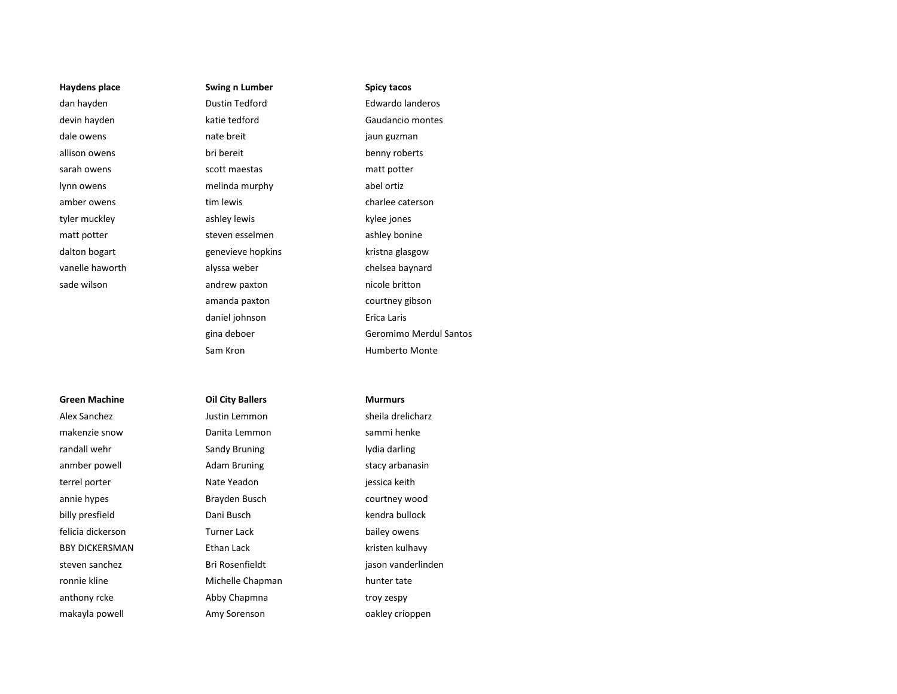# **Green Machine Oil City Ballers Murmurs**

makenzie snow Danita Lemmon sammi henke randall wehr **Sandy Bruning** Communist Controller and a lydia darling anmber powell **Adam Bruning** Stacy arbanasin terrel porter **Nate Yeadon** iessica keith annie hypes Brayden Busch courtney wood billy presfield **Dani Busch** Dani Busch kendra bullock felicia dickerson **Furner Lack bailey owens** BBY DICKERSMAN Ethan Lack kristen kulhavy ronnie kline and Michelle Chapman hunter tate anthony rcke anthony rcke Abby Chapmna troy zespy makayla powell Amy Sorenson oakley crioppen

**Haydens place Swing n Lumber Spicy tacos** dan hayden Dustin Tedford Edwardo landeros devin hayden katie tedford Gaudancio montes dale owens **nate breit** and the control of the control of the control of the control of the control of the control of the control of the control of the control of the control of the control of the control of the control of allison owens bri bereit benny roberts sarah owens scott maestas matt potter lynn owens melinda murphy abel ortiz amber owens tim lewis times the charlee caterson of the control of the control of the caterson of the control o tyler muckley ashley lewis ashley lewis by left and the set of the set of the set of the set of the set of the set of the set of the set of the set of the set of the set of the set of the set of the set of the set of the s matt potter steven esselmen as the steven esselment ashley bonine dalton bogart **genevieve hopkins** kristna glasgow vanelle haworth alyssa weber chelsea baynard sade wilson andrew paxton andrew paxton nicole britton amanda paxton courtney gibson daniel johnson **Exercise Exercise Entrancement** Erica Laris Sam Kron **Humberto Monte** 

gina deboer Geromimo Merdul Santos

Alex Sanchez Justin Lemmon sheila drelicharz

steven sanchez isteven sanchez Bri Rosenfieldt isteven is a jason vanderlinden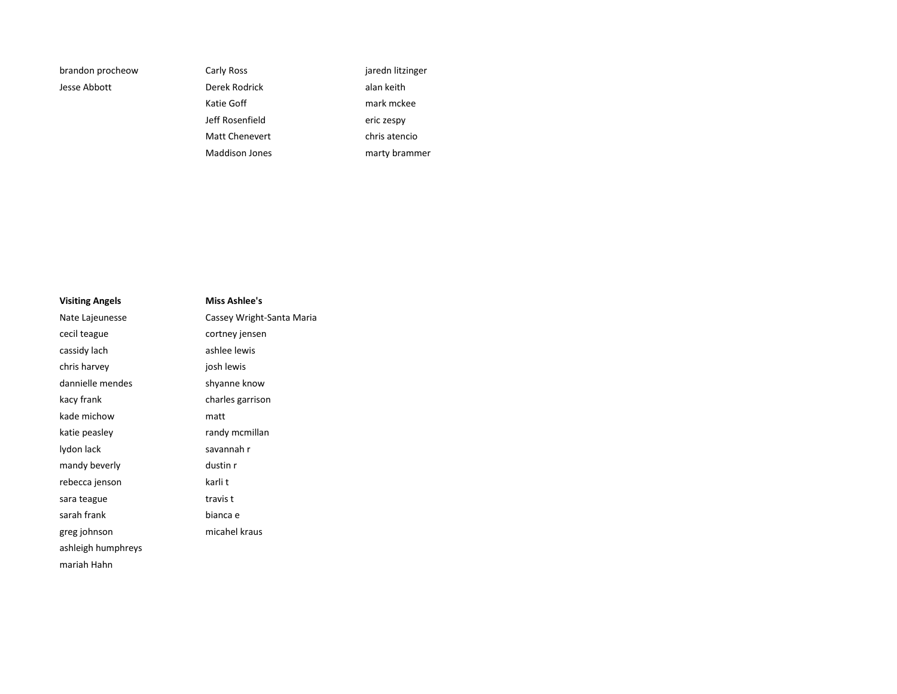Jesse Abbott Derek Rodrick alan keith Jeff Rosenfield eric zespy Maddison Jones **marty** brammer

brandon procheow Carly Ross Carly Ross jaredn litzinger Katie Goff **mark** mark mckee Matt Chenevert chris atencio

| <b>Visiting Angels</b> | Miss Ashlee's             |
|------------------------|---------------------------|
| Nate Lajeunesse        | Cassey Wright-Santa Maria |
| cecil teague           | cortney jensen            |
| cassidy lach           | ashlee lewis              |
| chris harvey           | josh lewis                |
| dannielle mendes       | shyanne know              |
| kacy frank             | charles garrison          |
| kade michow            | matt                      |
| katie peasley          | randy mcmillan            |
| lydon lack             | savannah r                |
| mandy beverly          | dustin r                  |
| rebecca jenson         | karli t                   |
| sara teague            | travis t                  |
| sarah frank            | bianca e                  |
| greg johnson           | micahel kraus             |
| ashleigh humphreys     |                           |
| mariah Hahn            |                           |